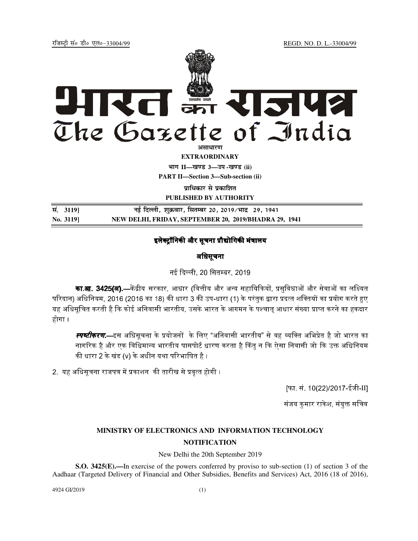jftLVªh laö Mhö ,yö&33004@99 REGD. NO. D. L.-33004/99



**EXTRAORDINARY Hkkx II—[k.M 3—mi -[k.M (ii) PART II—Section 3—Sub-section (ii)** 

**पाधिकार से पका**शित

**PUBLISHED BY AUTHORITY**

**la- 3119] ubZ fnYyh] 'kqØokj] flrEcj 20] 2019@Hkkn z 29] 1941 No. 3119] NEW DELHI, FRIDAY, SEPTEMBER 20, 2019/BHADRA 29, 1941** 

## इलेक्टॉनिकी और सचना प्रौद्योगिकी मंत्रालय

अधिसूचना

नई दिल्ली, 20 सितम्बर, 2019.

**का.आ. 3425(अ).—**केंद्रीय सरकार. आधार (वित्तीय और अन्य सहायिकियों. प्रसविधाओं और सेवाओं का लक्ष्यित परिदान) अधिनियम. 2016 (2016 का 18) की धारा 3 की उप-धारा (1) के परंतक द्वारा प्रदत्त शक्तियों का प्रयोग करते हए यह अधिसचित करती है कि कोई अनिवासी भारतीय. उसके भारत के आगमन के पश्चात आधार संख्या प्राप्त करने का हकदार होगा ।

स्**गब्टीकर***ण***.**—इस अधिसचना के प्रयोजनों के लिए "अनिवासी भारतीय" से वह व्यक्ति अभिप्रेत है जो भारत का नागरिक है और एक विधिमान्य भारतीय पासपोर्ट धारण करता है किंत न कि ऐसा निवासी जो कि उक्त अधिनियम की धारा 2 के खंड (v) के अधीन यथा परिभाषित है ।

2. 78%A#N'1%+I !O0 होगी ।

[फा. सं. 10(22)/2017-ईजी-II]

संजय कमार राकेश, संयक्त सचिव $\,$ 

## **MINISTRY OF ELECTRONICS AND INFORMATION TECHNOLOGY NOTIFICATION**

New Delhi the 20th September 2019

**S.O. 3425(E).—**In exercise of the powers conferred by proviso to sub-section (1) of section 3 of the Aadhaar (Targeted Delivery of Financial and Other Subsidies, Benefits and Services) Act, 2016 (18 of 2016),

4924 GI/2019 (1)